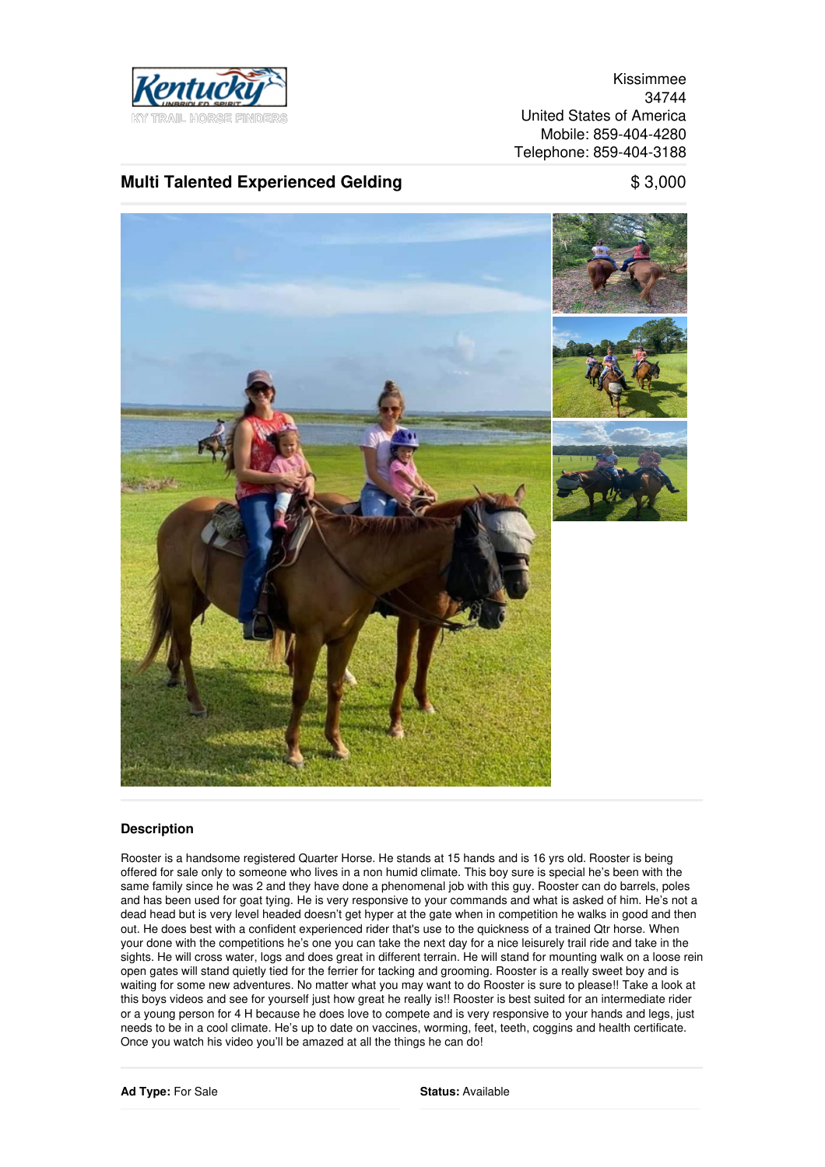

Kissimmee 34744 United States of America Mobile: 859-404-4280 Telephone: 859-404-3188

## **Multi Talented Experienced Gelding** \$ 3,000



## **Description**

Rooster is a handsome registered Quarter Horse. He stands at 15 hands and is 16 yrs old. Rooster is being offered for sale only to someone who lives in a non humid climate. This boy sure is special he's been with the same family since he was 2 and they have done a phenomenal job with this guy. Rooster can do barrels, poles and has been used for goat tying. He is very responsive to your commands and what is asked of him. He's not a dead head but is very level headed doesn't get hyper at the gate when in competition he walks in good and then out. He does best with a confident experienced rider that's use to the quickness of a trained Qtr horse. When your done with the competitions he's one you can take the next day for a nice leisurely trail ride and take in the sights. He will cross water, logs and does great in different terrain. He will stand for mounting walk on a loose rein open gates will stand quietly tied for the ferrier for tacking and grooming. Rooster is a really sweet boy and is waiting for some new adventures. No matter what you may want to do Rooster is sure to please!! Take a look at this boys videos and see for yourself just how great he really is!! Rooster is best suited for an intermediate rider or a young person for 4 H because he does love to compete and is very responsive to your hands and legs, just needs to be in a cool climate. He's up to date on vaccines, worming, feet, teeth, coggins and health certificate. Once you watch his video you'll be amazed at all the things he can do!